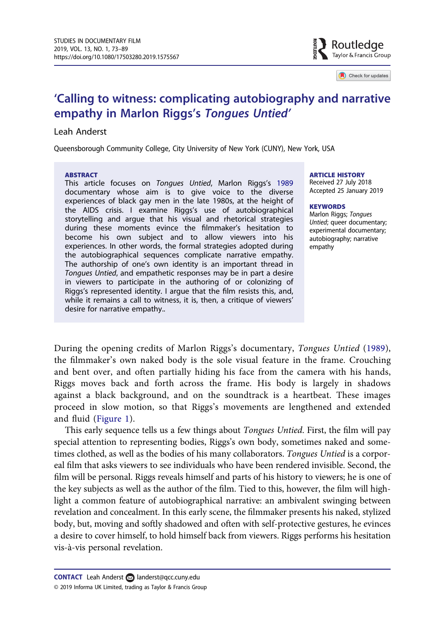

Check for updates

# <span id="page-0-0"></span>'Calling to witness: complicating autobiography and narrative empathy in Marlon Riggs's Tongues Untied'

# Leah Anderst

Queensborough Community College, City University of New York (CUNY), New York, USA

#### ABSTRACT

This article focuses on Tongues Untied, Marlon Riggs's [1989](#page-16-0) documentary whose aim is to give voice to the diverse experiences of black gay men in the late 1980s, at the height of the AIDS crisis. I examine Riggs's use of autobiographical storytelling and argue that his visual and rhetorical strategies during these moments evince the filmmaker's hesitation to become his own subject and to allow viewers into his experiences. In other words, the formal strategies adopted during the autobiographical sequences complicate narrative empathy. The authorship of one's own identity is an important thread in Tongues Untied, and empathetic responses may be in part a desire in viewers to participate in the authoring of or colonizing of Riggs's represented identity. I argue that the film resists this, and, while it remains a call to witness, it is, then, a critique of viewers' desire for narrative empathy..

#### ARTICLE HISTORY

Received 27 July 2018 Accepted 25 January 2019

#### **KEYWORDS**

Marlon Riggs; Tongues Untied; queer documentary; experimental documentary; autobiography; narrative empathy

During the opening credits of Marlon Riggs's documentary, Tongues Untied [\(1989](#page-16-0)), the filmmaker's own naked body is the sole visual feature in the frame. Crouching and bent over, and often partially hiding his face from the camera with his hands, Riggs moves back and forth across the frame. His body is largely in shadows against a black background, and on the soundtrack is a heartbeat. These images proceed in slow motion, so that Riggs's movements are lengthened and extended and fluid ([Figure 1\)](#page-1-0).

This early sequence tells us a few things about Tongues Untied. First, the film will pay special attention to representing bodies, Riggs's own body, sometimes naked and sometimes clothed, as well as the bodies of his many collaborators. Tongues Untied is a corporeal film that asks viewers to see individuals who have been rendered invisible. Second, the film will be personal. Riggs reveals himself and parts of his history to viewers; he is one of the key subjects as well as the author of the film. Tied to this, however, the film will highlight a common feature of autobiographical narrative: an ambivalent swinging between revelation and concealment. In this early scene, the filmmaker presents his naked, stylized body, but, moving and softly shadowed and often with self-protective gestures, he evinces a desire to cover himself, to hold himself back from viewers. Riggs performs his hesitation vis-à-vis personal revelation.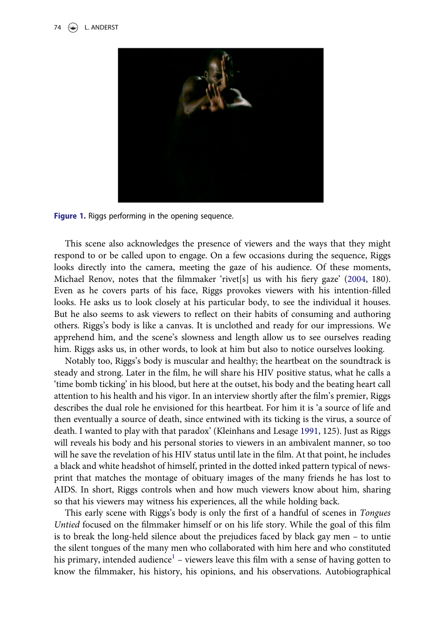<span id="page-1-0"></span>

Figure 1. Riggs performing in the opening sequence.

This scene also acknowledges the presence of viewers and the ways that they might respond to or be called upon to engage. On a few occasions during the sequence, Riggs looks directly into the camera, meeting the gaze of his audience. Of these moments, Michael Renov, notes that the filmmaker 'rivet[s] us with his fiery gaze'  $(2004, 180)$  $(2004, 180)$ . Even as he covers parts of his face, Riggs provokes viewers with his intention-filled looks. He asks us to look closely at his particular body, to see the individual it houses. But he also seems to ask viewers to reflect on their habits of consuming and authoring others. Riggs's body is like a canvas. It is unclothed and ready for our impressions. We apprehend him, and the scene's slowness and length allow us to see ourselves reading him. Riggs asks us, in other words, to look at him but also to notice ourselves looking.

Notably too, Riggs's body is muscular and healthy; the heartbeat on the soundtrack is steady and strong. Later in the film, he will share his HIV positive status, what he calls a 'time bomb ticking' in his blood, but here at the outset, his body and the beating heart call attention to his health and his vigor. In an interview shortly after the film's premier, Riggs describes the dual role he envisioned for this heartbeat. For him it is 'a source of life and then eventually a source of death, since entwined with its ticking is the virus, a source of death. I wanted to play with that paradox' (Kleinhans and Lesage [1991](#page-16-0), 125). Just as Riggs will reveals his body and his personal stories to viewers in an ambivalent manner, so too will he save the revelation of his HIV status until late in the film. At that point, he includes a black and white headshot of himself, printed in the dotted inked pattern typical of newsprint that matches the montage of obituary images of the many friends he has lost to AIDS. In short, Riggs controls when and how much viewers know about him, sharing so that his viewers may witness his experiences, all the while holding back.

This early scene with Riggs's body is only the first of a handful of scenes in Tongues Untied focused on the filmmaker himself or on his life story. While the goal of this film is to break the long-held silence about the prejudices faced by black gay men – to untie the silent tongues of the many men who collaborated with him here and who constituted his primary, intended audience<sup>[1](#page-14-0)</sup> – viewers leave this film with a sense of having gotten to know the filmmaker, his history, his opinions, and his observations. Autobiographical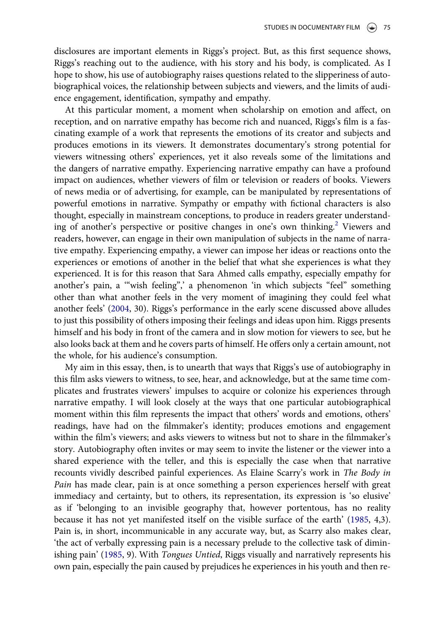<span id="page-2-0"></span>disclosures are important elements in Riggs's project. But, as this first sequence shows, Riggs's reaching out to the audience, with his story and his body, is complicated. As I hope to show, his use of autobiography raises questions related to the slipperiness of autobiographical voices, the relationship between subjects and viewers, and the limits of audience engagement, identification, sympathy and empathy.

At this particular moment, a moment when scholarship on emotion and affect, on reception, and on narrative empathy has become rich and nuanced, Riggs's film is a fascinating example of a work that represents the emotions of its creator and subjects and produces emotions in its viewers. It demonstrates documentary's strong potential for viewers witnessing others' experiences, yet it also reveals some of the limitations and the dangers of narrative empathy. Experiencing narrative empathy can have a profound impact on audiences, whether viewers of film or television or readers of books. Viewers of news media or of advertising, for example, can be manipulated by representations of powerful emotions in narrative. Sympathy or empathy with fictional characters is also thought, especially in mainstream conceptions, to produce in readers greater understand-ing of another's perspective or positive changes in one's own thinking.<sup>[2](#page-14-0)</sup> Viewers and readers, however, can engage in their own manipulation of subjects in the name of narrative empathy. Experiencing empathy, a viewer can impose her ideas or reactions onto the experiences or emotions of another in the belief that what she experiences is what they experienced. It is for this reason that Sara Ahmed calls empathy, especially empathy for another's pain, a '"wish feeling",' a phenomenon 'in which subjects "feel" something other than what another feels in the very moment of imagining they could feel what another feels' [\(2004](#page-15-0), 30). Riggs's performance in the early scene discussed above alludes to just this possibility of others imposing their feelings and ideas upon him. Riggs presents himself and his body in front of the camera and in slow motion for viewers to see, but he also looks back at them and he covers parts of himself. He offers only a certain amount, not the whole, for his audience's consumption.

My aim in this essay, then, is to unearth that ways that Riggs's use of autobiography in this film asks viewers to witness, to see, hear, and acknowledge, but at the same time complicates and frustrates viewers' impulses to acquire or colonize his experiences through narrative empathy. I will look closely at the ways that one particular autobiographical moment within this film represents the impact that others' words and emotions, others' readings, have had on the filmmaker's identity; produces emotions and engagement within the film's viewers; and asks viewers to witness but not to share in the filmmaker's story. Autobiography often invites or may seem to invite the listener or the viewer into a shared experience with the teller, and this is especially the case when that narrative recounts vividly described painful experiences. As Elaine Scarry's work in The Body in Pain has made clear, pain is at once something a person experiences herself with great immediacy and certainty, but to others, its representation, its expression is 'so elusive' as if 'belonging to an invisible geography that, however portentous, has no reality because it has not yet manifested itself on the visible surface of the earth' ([1985,](#page-16-0) 4,3). Pain is, in short, incommunicable in any accurate way, but, as Scarry also makes clear, 'the act of verbally expressing pain is a necessary prelude to the collective task of diminishing pain' [\(1985](#page-16-0), 9). With Tongues Untied, Riggs visually and narratively represents his own pain, especially the pain caused by prejudices he experiences in his youth and then re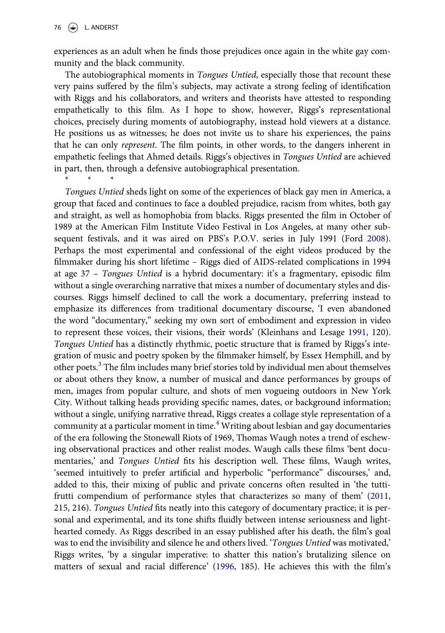\*\*\*

<span id="page-3-0"></span>experiences as an adult when he finds those prejudices once again in the white gay community and the black community.

The autobiographical moments in *Tongues Untied*, especially those that recount these very pains suffered by the film's subjects, may activate a strong feeling of identification with Riggs and his collaborators, and writers and theorists have attested to responding empathetically to this film. As I hope to show, however, Riggs's representational choices, precisely during moments of autobiography, instead hold viewers at a distance. He positions us as witnesses; he does not invite us to share his experiences, the pains that he can only represent. The film points, in other words, to the dangers inherent in empathetic feelings that Ahmed details. Riggs's objectives in Tongues Untied are achieved in part, then, through a defensive autobiographical presentation.

Tongues Untied sheds light on some of the experiences of black gay men in America, a group that faced and continues to face a doubled prejudice, racism from whites, both gay and straight, as well as homophobia from blacks. Riggs presented the film in October of 1989 at the American Film Institute Video Festival in Los Angeles, at many other subsequent festivals, and it was aired on PBS's P.O.V. series in July 1991 (Ford [2008](#page-15-0)). Perhaps the most experimental and confessional of the eight videos produced by the filmmaker during his short lifetime – Riggs died of AIDS-related complications in 1994 at age 37 – Tongues Untied is a hybrid documentary: it's a fragmentary, episodic film without a single overarching narrative that mixes a number of documentary styles and discourses. Riggs himself declined to call the work a documentary, preferring instead to emphasize its differences from traditional documentary discourse, 'I even abandoned the word "documentary," seeking my own sort of embodiment and expression in video to represent these voices, their visions, their words' (Kleinhans and Lesage [1991](#page-16-0), 120). Tongues Untied has a distinctly rhythmic, poetic structure that is framed by Riggs's integration of music and poetry spoken by the filmmaker himself, by Essex Hemphill, and by other poets.[3](#page-14-0) The film includes many brief stories told by individual men about themselves or about others they know, a number of musical and dance performances by groups of men, images from popular culture, and shots of men vogueing outdoors in New York City. Without talking heads providing specific names, dates, or background information; without a single, unifying narrative thread, Riggs creates a collage style representation of a community at a particular moment in time.<sup>4</sup> Writing about lesbian and gay documentaries of the era following the Stonewall Riots of 1969, Thomas Waugh notes a trend of eschewing observational practices and other realist modes. Waugh calls these films 'bent documentaries,' and Tongues Untied fits his description well. These films, Waugh writes, 'seemed intuitively to prefer artificial and hyperbolic "performance" discourses,' and, added to this, their mixing of public and private concerns often resulted in 'the tuttifrutti compendium of performance styles that characterizes so many of them' ([2011,](#page-16-0) 215, 216). Tongues Untied fits neatly into this category of documentary practice; it is personal and experimental, and its tone shifts fluidly between intense seriousness and lighthearted comedy. As Riggs described in an essay published after his death, the film's goal was to end the invisibility and silence he and others lived. 'Tongues Untied was motivated,' Riggs writes, 'by a singular imperative: to shatter this nation's brutalizing silence on matters of sexual and racial difference' ([1996,](#page-16-0) 185). He achieves this with the film's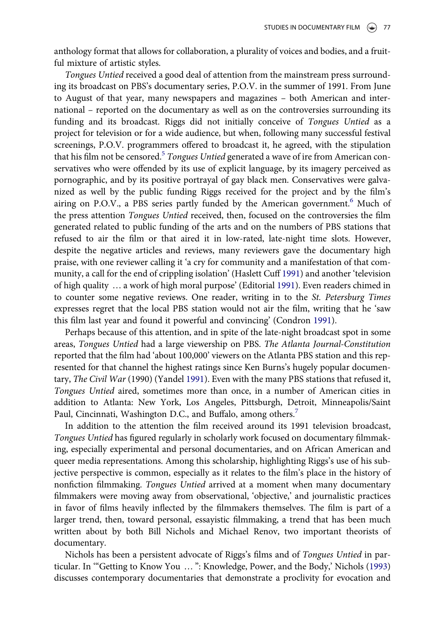<span id="page-4-0"></span>anthology format that allows for collaboration, a plurality of voices and bodies, and a fruitful mixture of artistic styles.

Tongues Untied received a good deal of attention from the mainstream press surrounding its broadcast on PBS's documentary series, P.O.V. in the summer of 1991. From June to August of that year, many newspapers and magazines – both American and international – reported on the documentary as well as on the controversies surrounding its funding and its broadcast. Riggs did not initially conceive of Tongues Untied as a project for television or for a wide audience, but when, following many successful festival screenings, P.O.V. programmers offered to broadcast it, he agreed, with the stipulation that his film not be censored.<sup>5</sup> Tongues Untied generated a wave of ire from American conservatives who were offended by its use of explicit language, by its imagery perceived as pornographic, and by its positive portrayal of gay black men. Conservatives were galvanized as well by the public funding Riggs received for the project and by the film's airing on P.O.V., a PBS series partly funded by the American government.<sup>[6](#page-14-0)</sup> Much of the press attention Tongues Untied received, then, focused on the controversies the film generated related to public funding of the arts and on the numbers of PBS stations that refused to air the film or that aired it in low-rated, late-night time slots. However, despite the negative articles and reviews, many reviewers gave the documentary high praise, with one reviewer calling it 'a cry for community and a manifestation of that community, a call for the end of crippling isolation' (Haslett Cuff [1991\)](#page-15-0) and another 'television of high quality … a work of high moral purpose' (Editorial [1991](#page-15-0)). Even readers chimed in to counter some negative reviews. One reader, writing in to the St. Petersburg Times expresses regret that the local PBS station would not air the film, writing that he 'saw this film last year and found it powerful and convincing' (Condron [1991\)](#page-15-0).

Perhaps because of this attention, and in spite of the late-night broadcast spot in some areas, Tongues Untied had a large viewership on PBS. The Atlanta Journal-Constitution reported that the film had 'about 100,000' viewers on the Atlanta PBS station and this represented for that channel the highest ratings since Ken Burns's hugely popular documentary, The Civil War (1990) (Yandel [1991\)](#page-16-0). Even with the many PBS stations that refused it, Tongues Untied aired, sometimes more than once, in a number of American cities in addition to Atlanta: New York, Los Angeles, Pittsburgh, Detroit, Minneapolis/Saint Paul, Cincinnati, Washington D.C., and Buffalo, among others.

In addition to the attention the film received around its 1991 television broadcast, Tongues Untied has figured regularly in scholarly work focused on documentary filmmaking, especially experimental and personal documentaries, and on African American and queer media representations. Among this scholarship, highlighting Riggs's use of his subjective perspective is common, especially as it relates to the film's place in the history of nonfiction filmmaking. Tongues Untied arrived at a moment when many documentary filmmakers were moving away from observational, 'objective,' and journalistic practices in favor of films heavily inflected by the filmmakers themselves. The film is part of a larger trend, then, toward personal, essayistic filmmaking, a trend that has been much written about by both Bill Nichols and Michael Renov, two important theorists of documentary.

Nichols has been a persistent advocate of Riggs's films and of Tongues Untied in particular. In '"Getting to Know You … ": Knowledge, Power, and the Body,' Nichols ([1993\)](#page-16-0) discusses contemporary documentaries that demonstrate a proclivity for evocation and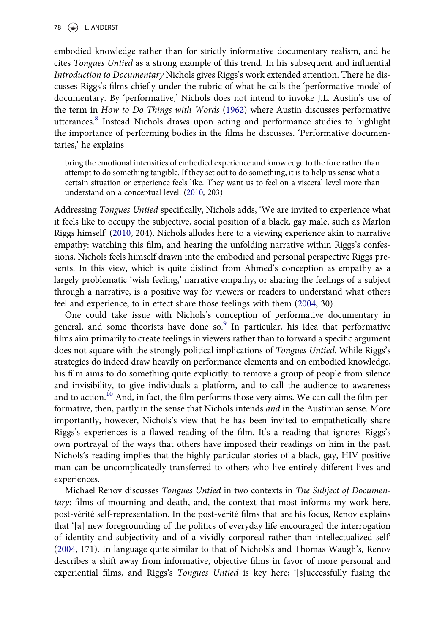<span id="page-5-0"></span>78  $\left(\frac{1}{2}\right)$  L. ANDERST

embodied knowledge rather than for strictly informative documentary realism, and he cites Tongues Untied as a strong example of this trend. In his subsequent and influential Introduction to Documentary Nichols gives Riggs's work extended attention. There he discusses Riggs's films chiefly under the rubric of what he calls the 'performative mode' of documentary. By 'performative,' Nichols does not intend to invoke J.L. Austin's use of the term in How to Do Things with Words [\(1962\)](#page-15-0) where Austin discusses performative utterances[.8](#page-14-0) Instead Nichols draws upon acting and performance studies to highlight the importance of performing bodies in the films he discusses. 'Performative documentaries,' he explains

bring the emotional intensities of embodied experience and knowledge to the fore rather than attempt to do something tangible. If they set out to do something, it is to help us sense what a certain situation or experience feels like. They want us to feel on a visceral level more than understand on a conceptual level. ([2010](#page-16-0), 203)

Addressing Tongues Untied specifically, Nichols adds, 'We are invited to experience what it feels like to occupy the subjective, social position of a black, gay male, such as Marlon Riggs himself' ([2010](#page-16-0), 204). Nichols alludes here to a viewing experience akin to narrative empathy: watching this film, and hearing the unfolding narrative within Riggs's confessions, Nichols feels himself drawn into the embodied and personal perspective Riggs presents. In this view, which is quite distinct from Ahmed's conception as empathy as a largely problematic 'wish feeling,' narrative empathy, or sharing the feelings of a subject through a narrative, is a positive way for viewers or readers to understand what others feel and experience, to in effect share those feelings with them [\(2004](#page-15-0), 30).

One could take issue with Nichols's conception of performative documentary in general, and some theorists have done so. $9$  In particular, his idea that performative films aim primarily to create feelings in viewers rather than to forward a specific argument does not square with the strongly political implications of Tongues Untied. While Riggs's strategies do indeed draw heavily on performance elements and on embodied knowledge, his film aims to do something quite explicitly: to remove a group of people from silence and invisibility, to give individuals a platform, and to call the audience to awareness and to action.<sup>[10](#page-14-0)</sup> And, in fact, the film performs those very aims. We can call the film performative, then, partly in the sense that Nichols intends and in the Austinian sense. More importantly, however, Nichols's view that he has been invited to empathetically share Riggs's experiences is a flawed reading of the film. It's a reading that ignores Riggs's own portrayal of the ways that others have imposed their readings on him in the past. Nichols's reading implies that the highly particular stories of a black, gay, HIV positive man can be uncomplicatedly transferred to others who live entirely different lives and experiences.

Michael Renov discusses Tongues Untied in two contexts in The Subject of Documentary: films of mourning and death, and, the context that most informs my work here, post-vérité self-representation. In the post-vérité films that are his focus, Renov explains that '[a] new foregrounding of the politics of everyday life encouraged the interrogation of identity and subjectivity and of a vividly corporeal rather than intellectualized self' ([2004,](#page-16-0) 171). In language quite similar to that of Nichols's and Thomas Waugh's, Renov describes a shift away from informative, objective films in favor of more personal and experiential films, and Riggs's Tongues Untied is key here; '[s]uccessfully fusing the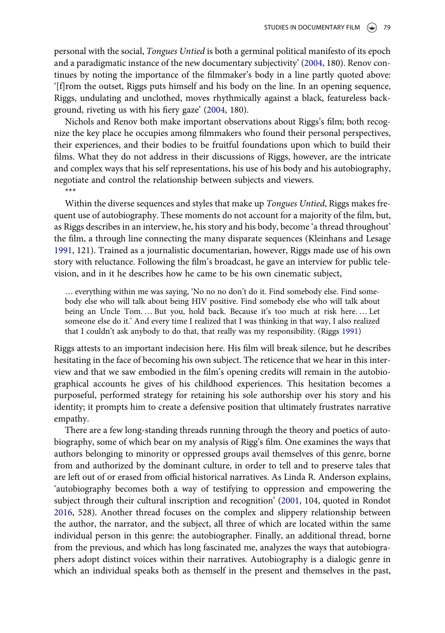<span id="page-6-0"></span>personal with the social, Tongues Untied is both a germinal political manifesto of its epoch and a paradigmatic instance of the new documentary subjectivity' [\(2004,](#page-16-0) 180). Renov continues by noting the importance of the filmmaker's body in a line partly quoted above: '[f]rom the outset, Riggs puts himself and his body on the line. In an opening sequence, Riggs, undulating and unclothed, moves rhythmically against a black, featureless background, riveting us with his fiery gaze' [\(2004](#page-16-0), 180).

Nichols and Renov both make important observations about Riggs's film; both recognize the key place he occupies among filmmakers who found their personal perspectives, their experiences, and their bodies to be fruitful foundations upon which to build their films. What they do not address in their discussions of Riggs, however, are the intricate and complex ways that his self representations, his use of his body and his autobiography, negotiate and control the relationship between subjects and viewers.

\*\*\*

Within the diverse sequences and styles that make up *Tongues Untied*, Riggs makes frequent use of autobiography. These moments do not account for a majority of the film, but, as Riggs describes in an interview, he, his story and his body, become 'a thread throughout' the film, a through line connecting the many disparate sequences (Kleinhans and Lesage [1991](#page-16-0), 121). Trained as a journalistic documentarian, however, Riggs made use of his own story with reluctance. Following the film's broadcast, he gave an interview for public television, and in it he describes how he came to be his own cinematic subject,

… everything within me was saying, 'No no no don't do it. Find somebody else. Find somebody else who will talk about being HIV positive. Find somebody else who will talk about being an Uncle Tom. … But you, hold back. Because it's too much at risk here. … Let someone else do it.' And every time I realized that I was thinking in that way, I also realized that I couldn't ask anybody to do that, that really was my responsibility. (Riggs [1991](#page-16-0))

Riggs attests to an important indecision here. His film will break silence, but he describes hesitating in the face of becoming his own subject. The reticence that we hear in this interview and that we saw embodied in the film's opening credits will remain in the autobiographical accounts he gives of his childhood experiences. This hesitation becomes a purposeful, performed strategy for retaining his sole authorship over his story and his identity; it prompts him to create a defensive position that ultimately frustrates narrative empathy.

There are a few long-standing threads running through the theory and poetics of autobiography, some of which bear on my analysis of Rigg's film. One examines the ways that authors belonging to minority or oppressed groups avail themselves of this genre, borne from and authorized by the dominant culture, in order to tell and to preserve tales that are left out of or erased from official historical narratives. As Linda R. Anderson explains, 'autobiography becomes both a way of testifying to oppression and empowering the subject through their cultural inscription and recognition' ([2001,](#page-15-0) 104, quoted in Rondot [2016](#page-16-0), 528). Another thread focuses on the complex and slippery relationship between the author, the narrator, and the subject, all three of which are located within the same individual person in this genre: the autobiographer. Finally, an additional thread, borne from the previous, and which has long fascinated me, analyzes the ways that autobiographers adopt distinct voices within their narratives. Autobiography is a dialogic genre in which an individual speaks both as themself in the present and themselves in the past,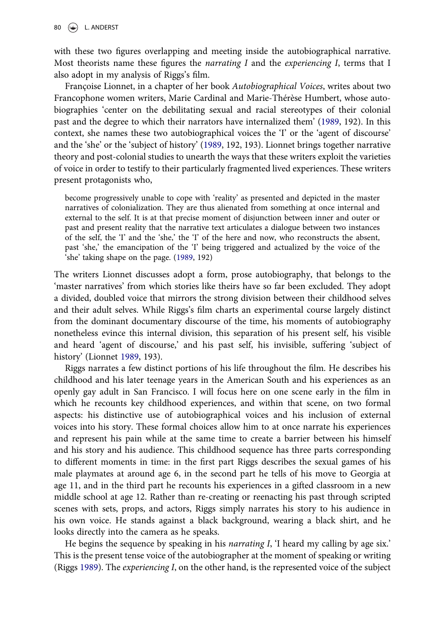<span id="page-7-0"></span>with these two figures overlapping and meeting inside the autobiographical narrative. Most theorists name these figures the *narrating I* and the *experiencing I*, terms that I also adopt in my analysis of Riggs's film.

Françoise Lionnet, in a chapter of her book Autobiographical Voices, writes about two Francophone women writers, Marie Cardinal and Marie-Thérèse Humbert, whose autobiographies 'center on the debilitating sexual and racial stereotypes of their colonial past and the degree to which their narrators have internalized them' ([1989](#page-16-0), 192). In this context, she names these two autobiographical voices the 'I' or the 'agent of discourse' and the 'she' or the 'subject of history' ([1989,](#page-16-0) 192, 193). Lionnet brings together narrative theory and post-colonial studies to unearth the ways that these writers exploit the varieties of voice in order to testify to their particularly fragmented lived experiences. These writers present protagonists who,

become progressively unable to cope with 'reality' as presented and depicted in the master narratives of colonialization. They are thus alienated from something at once internal and external to the self. It is at that precise moment of disjunction between inner and outer or past and present reality that the narrative text articulates a dialogue between two instances of the self, the 'I' and the 'she,' the 'I' of the here and now, who reconstructs the absent, past 'she,' the emancipation of the 'I' being triggered and actualized by the voice of the 'she' taking shape on the page. ([1989,](#page-16-0) 192)

The writers Lionnet discusses adopt a form, prose autobiography, that belongs to the 'master narratives' from which stories like theirs have so far been excluded. They adopt a divided, doubled voice that mirrors the strong division between their childhood selves and their adult selves. While Riggs's film charts an experimental course largely distinct from the dominant documentary discourse of the time, his moments of autobiography nonetheless evince this internal division, this separation of his present self, his visible and heard 'agent of discourse,' and his past self, his invisible, suffering 'subject of history' (Lionnet [1989,](#page-16-0) 193).

Riggs narrates a few distinct portions of his life throughout the film. He describes his childhood and his later teenage years in the American South and his experiences as an openly gay adult in San Francisco. I will focus here on one scene early in the film in which he recounts key childhood experiences, and within that scene, on two formal aspects: his distinctive use of autobiographical voices and his inclusion of external voices into his story. These formal choices allow him to at once narrate his experiences and represent his pain while at the same time to create a barrier between his himself and his story and his audience. This childhood sequence has three parts corresponding to different moments in time: in the first part Riggs describes the sexual games of his male playmates at around age 6, in the second part he tells of his move to Georgia at age 11, and in the third part he recounts his experiences in a gifted classroom in a new middle school at age 12. Rather than re-creating or reenacting his past through scripted scenes with sets, props, and actors, Riggs simply narrates his story to his audience in his own voice. He stands against a black background, wearing a black shirt, and he looks directly into the camera as he speaks.

He begins the sequence by speaking in his *narrating I*, 'I heard my calling by age six.' This is the present tense voice of the autobiographer at the moment of speaking or writing (Riggs [1989\)](#page-16-0). The experiencing I, on the other hand, is the represented voice of the subject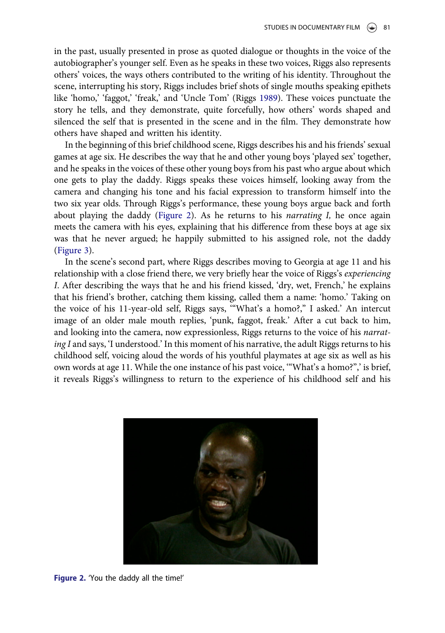in the past, usually presented in prose as quoted dialogue or thoughts in the voice of the autobiographer's younger self. Even as he speaks in these two voices, Riggs also represents others' voices, the ways others contributed to the writing of his identity. Throughout the scene, interrupting his story, Riggs includes brief shots of single mouths speaking epithets like 'homo,' 'faggot,' 'freak,' and 'Uncle Tom' (Riggs [1989\)](#page-16-0). These voices punctuate the story he tells, and they demonstrate, quite forcefully, how others' words shaped and silenced the self that is presented in the scene and in the film. They demonstrate how others have shaped and written his identity.

In the beginning of this brief childhood scene, Riggs describes his and his friends' sexual games at age six. He describes the way that he and other young boys 'played sex' together, and he speaks in the voices of these other young boys from his past who argue about which one gets to play the daddy. Riggs speaks these voices himself, looking away from the camera and changing his tone and his facial expression to transform himself into the two six year olds. Through Riggs's performance, these young boys argue back and forth about playing the daddy (Figure 2). As he returns to his *narrating I*, he once again meets the camera with his eyes, explaining that his difference from these boys at age six was that he never argued; he happily submitted to his assigned role, not the daddy ([Figure 3](#page-9-0)).

In the scene's second part, where Riggs describes moving to Georgia at age 11 and his relationship with a close friend there, we very briefly hear the voice of Riggs's experiencing I. After describing the ways that he and his friend kissed, 'dry, wet, French,' he explains that his friend's brother, catching them kissing, called them a name: 'homo.' Taking on the voice of his 11-year-old self, Riggs says, '"What's a homo?," I asked.' An intercut image of an older male mouth replies, 'punk, faggot, freak.' After a cut back to him, and looking into the camera, now expressionless, Riggs returns to the voice of his narrating I and says, 'I understood.' In this moment of his narrative, the adult Riggs returns to his childhood self, voicing aloud the words of his youthful playmates at age six as well as his own words at age 11. While the one instance of his past voice, '"What's a homo?",' is brief, it reveals Riggs's willingness to return to the experience of his childhood self and his



Figure 2. 'You the daddy all the time!'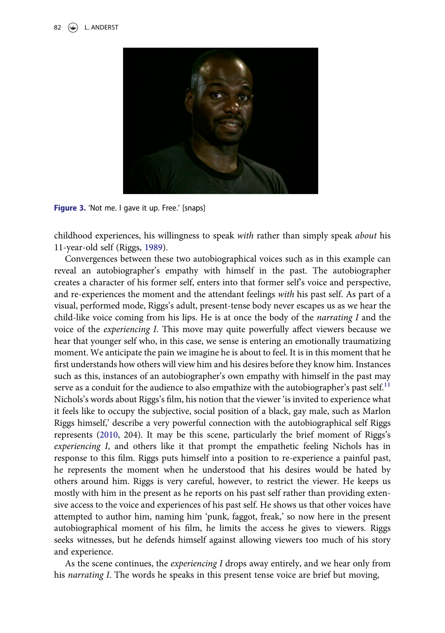<span id="page-9-0"></span>

Figure 3. 'Not me. I gave it up. Free.' [snaps]

childhood experiences, his willingness to speak with rather than simply speak about his 11-year-old self (Riggs, [1989](#page-16-0)).

Convergences between these two autobiographical voices such as in this example can reveal an autobiographer's empathy with himself in the past. The autobiographer creates a character of his former self, enters into that former self's voice and perspective, and re-experiences the moment and the attendant feelings with his past self. As part of a visual, performed mode, Riggs's adult, present-tense body never escapes us as we hear the child-like voice coming from his lips. He is at once the body of the narrating I and the voice of the experiencing I. This move may quite powerfully affect viewers because we hear that younger self who, in this case, we sense is entering an emotionally traumatizing moment. We anticipate the pain we imagine he is about to feel. It is in this moment that he first understands how others will view him and his desires before they know him. Instances such as this, instances of an autobiographer's own empathy with himself in the past may serve as a conduit for the audience to also empathize with the autobiographer's past self. $<sup>11</sup>$  $<sup>11</sup>$  $<sup>11</sup>$ </sup> Nichols's words about Riggs's film, his notion that the viewer 'is invited to experience what it feels like to occupy the subjective, social position of a black, gay male, such as Marlon Riggs himself,' describe a very powerful connection with the autobiographical self Riggs represents ([2010,](#page-16-0) 204). It may be this scene, particularly the brief moment of Riggs's experiencing I, and others like it that prompt the empathetic feeling Nichols has in response to this film. Riggs puts himself into a position to re-experience a painful past, he represents the moment when he understood that his desires would be hated by others around him. Riggs is very careful, however, to restrict the viewer. He keeps us mostly with him in the present as he reports on his past self rather than providing extensive access to the voice and experiences of his past self. He shows us that other voices have attempted to author him, naming him 'punk, faggot, freak,' so now here in the present autobiographical moment of his film, he limits the access he gives to viewers. Riggs seeks witnesses, but he defends himself against allowing viewers too much of his story and experience.

As the scene continues, the experiencing I drops away entirely, and we hear only from his *narrating I*. The words he speaks in this present tense voice are brief but moving,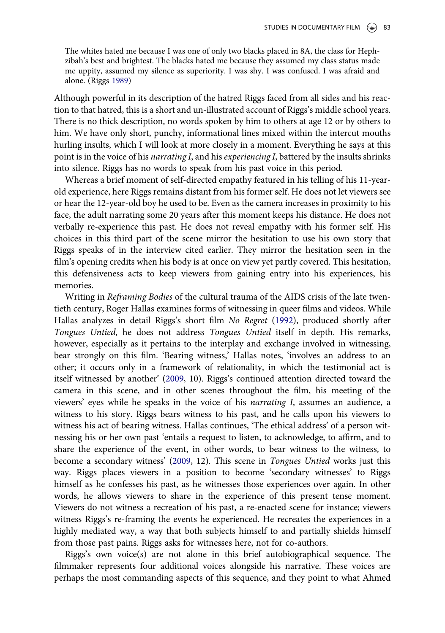<span id="page-10-0"></span>The whites hated me because I was one of only two blacks placed in 8A, the class for Hephzibah's best and brightest. The blacks hated me because they assumed my class status made me uppity, assumed my silence as superiority. I was shy. I was confused. I was afraid and alone. (Riggs [1989](#page-16-0))

Although powerful in its description of the hatred Riggs faced from all sides and his reaction to that hatred, this is a short and un-illustrated account of Riggs's middle school years. There is no thick description, no words spoken by him to others at age 12 or by others to him. We have only short, punchy, informational lines mixed within the intercut mouths hurling insults, which I will look at more closely in a moment. Everything he says at this point is in the voice of his *narrating I*, and his *experiencing I*, battered by the insults shrinks into silence. Riggs has no words to speak from his past voice in this period.

Whereas a brief moment of self-directed empathy featured in his telling of his 11-yearold experience, here Riggs remains distant from his former self. He does not let viewers see or hear the 12-year-old boy he used to be. Even as the camera increases in proximity to his face, the adult narrating some 20 years after this moment keeps his distance. He does not verbally re-experience this past. He does not reveal empathy with his former self. His choices in this third part of the scene mirror the hesitation to use his own story that Riggs speaks of in the interview cited earlier. They mirror the hesitation seen in the film's opening credits when his body is at once on view yet partly covered. This hesitation, this defensiveness acts to keep viewers from gaining entry into his experiences, his memories.

Writing in Reframing Bodies of the cultural trauma of the AIDS crisis of the late twentieth century, Roger Hallas examines forms of witnessing in queer films and videos. While Hallas analyzes in detail Riggs's short film No Regret ([1992\)](#page-16-0), produced shortly after Tongues Untied, he does not address Tongues Untied itself in depth. His remarks, however, especially as it pertains to the interplay and exchange involved in witnessing, bear strongly on this film. 'Bearing witness,' Hallas notes, 'involves an address to an other; it occurs only in a framework of relationality, in which the testimonial act is itself witnessed by another' ([2009,](#page-15-0) 10). Riggs's continued attention directed toward the camera in this scene, and in other scenes throughout the film, his meeting of the viewers' eyes while he speaks in the voice of his narrating I, assumes an audience, a witness to his story. Riggs bears witness to his past, and he calls upon his viewers to witness his act of bearing witness. Hallas continues, 'The ethical address' of a person witnessing his or her own past 'entails a request to listen, to acknowledge, to affirm, and to share the experience of the event, in other words, to bear witness to the witness, to become a secondary witness' [\(2009](#page-15-0), 12). This scene in Tongues Untied works just this way. Riggs places viewers in a position to become 'secondary witnesses' to Riggs himself as he confesses his past, as he witnesses those experiences over again. In other words, he allows viewers to share in the experience of this present tense moment. Viewers do not witness a recreation of his past, a re-enacted scene for instance; viewers witness Riggs's re-framing the events he experienced. He recreates the experiences in a highly mediated way, a way that both subjects himself to and partially shields himself from those past pains. Riggs asks for witnesses here, not for co-authors.

Riggs's own voice(s) are not alone in this brief autobiographical sequence. The filmmaker represents four additional voices alongside his narrative. These voices are perhaps the most commanding aspects of this sequence, and they point to what Ahmed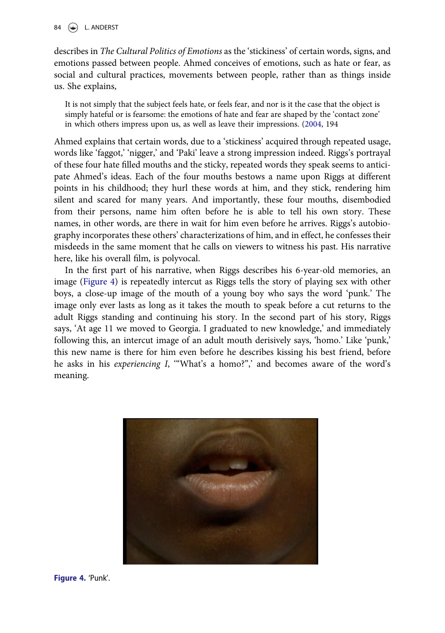describes in The Cultural Politics of Emotions as the 'stickiness' of certain words, signs, and emotions passed between people. Ahmed conceives of emotions, such as hate or fear, as social and cultural practices, movements between people, rather than as things inside us. She explains,

It is not simply that the subject feels hate, or feels fear, and nor is it the case that the object is simply hateful or is fearsome: the emotions of hate and fear are shaped by the 'contact zone' in which others impress upon us, as well as leave their impressions. [\(2004](#page-15-0), 194

Ahmed explains that certain words, due to a 'stickiness' acquired through repeated usage, words like 'faggot,' 'nigger,' and 'Paki' leave a strong impression indeed. Riggs's portrayal of these four hate filled mouths and the sticky, repeated words they speak seems to anticipate Ahmed's ideas. Each of the four mouths bestows a name upon Riggs at different points in his childhood; they hurl these words at him, and they stick, rendering him silent and scared for many years. And importantly, these four mouths, disembodied from their persons, name him often before he is able to tell his own story. These names, in other words, are there in wait for him even before he arrives. Riggs's autobiography incorporates these others' characterizations of him, and in effect, he confesses their misdeeds in the same moment that he calls on viewers to witness his past. His narrative here, like his overall film, is polyvocal.

In the first part of his narrative, when Riggs describes his 6-year-old memories, an image (Figure 4) is repeatedly intercut as Riggs tells the story of playing sex with other boys, a close-up image of the mouth of a young boy who says the word 'punk.' The image only ever lasts as long as it takes the mouth to speak before a cut returns to the adult Riggs standing and continuing his story. In the second part of his story, Riggs says, 'At age 11 we moved to Georgia. I graduated to new knowledge,' and immediately following this, an intercut image of an adult mouth derisively says, 'homo.' Like 'punk,' this new name is there for him even before he describes kissing his best friend, before he asks in his *experiencing I*, ""What's a homo?",' and becomes aware of the word's meaning.

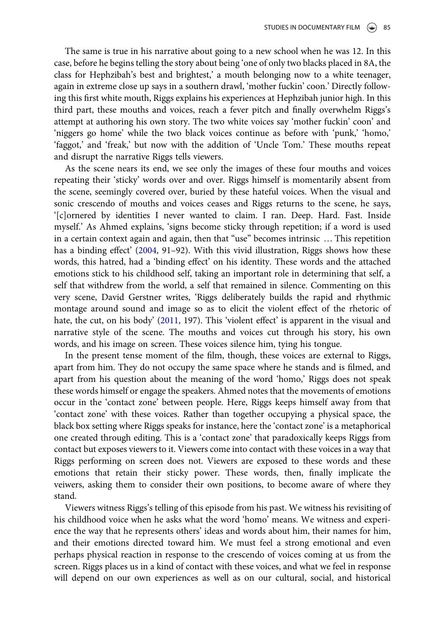<span id="page-12-0"></span>The same is true in his narrative about going to a new school when he was 12. In this case, before he begins telling the story about being 'one of only two blacks placed in 8A, the class for Hephzibah's best and brightest,' a mouth belonging now to a white teenager, again in extreme close up says in a southern drawl, 'mother fuckin' coon.' Directly following this first white mouth, Riggs explains his experiences at Hephzibah junior high. In this third part, these mouths and voices, reach a fever pitch and finally overwhelm Riggs's attempt at authoring his own story. The two white voices say 'mother fuckin' coon' and 'niggers go home' while the two black voices continue as before with 'punk,' 'homo,' 'faggot,' and 'freak,' but now with the addition of 'Uncle Tom.' These mouths repeat and disrupt the narrative Riggs tells viewers.

As the scene nears its end, we see only the images of these four mouths and voices repeating their 'sticky' words over and over. Riggs himself is momentarily absent from the scene, seemingly covered over, buried by these hateful voices. When the visual and sonic crescendo of mouths and voices ceases and Riggs returns to the scene, he says, '[c]ornered by identities I never wanted to claim. I ran. Deep. Hard. Fast. Inside myself.' As Ahmed explains, 'signs become sticky through repetition; if a word is used in a certain context again and again, then that "use" becomes intrinsic … This repetition has a binding effect' ([2004,](#page-15-0) 91–92). With this vivid illustration, Riggs shows how these words, this hatred, had a 'binding effect' on his identity. These words and the attached emotions stick to his childhood self, taking an important role in determining that self, a self that withdrew from the world, a self that remained in silence. Commenting on this very scene, David Gerstner writes, 'Riggs deliberately builds the rapid and rhythmic montage around sound and image so as to elicit the violent effect of the rhetoric of hate, the cut, on his body' ([2011](#page-15-0), 197). This 'violent effect' is apparent in the visual and narrative style of the scene. The mouths and voices cut through his story, his own words, and his image on screen. These voices silence him, tying his tongue.

In the present tense moment of the film, though, these voices are external to Riggs, apart from him. They do not occupy the same space where he stands and is filmed, and apart from his question about the meaning of the word 'homo,' Riggs does not speak these words himself or engage the speakers. Ahmed notes that the movements of emotions occur in the 'contact zone' between people. Here, Riggs keeps himself away from that 'contact zone' with these voices. Rather than together occupying a physical space, the black box setting where Riggs speaks for instance, here the 'contact zone' is a metaphorical one created through editing. This is a 'contact zone' that paradoxically keeps Riggs from contact but exposes viewers to it. Viewers come into contact with these voices in a way that Riggs performing on screen does not. Viewers are exposed to these words and these emotions that retain their sticky power. These words, then, finally implicate the veiwers, asking them to consider their own positions, to become aware of where they stand.

Viewers witness Riggs's telling of this episode from his past. We witness his revisiting of his childhood voice when he asks what the word 'homo' means. We witness and experience the way that he represents others' ideas and words about him, their names for him, and their emotions directed toward him. We must feel a strong emotional and even perhaps physical reaction in response to the crescendo of voices coming at us from the screen. Riggs places us in a kind of contact with these voices, and what we feel in response will depend on our own experiences as well as on our cultural, social, and historical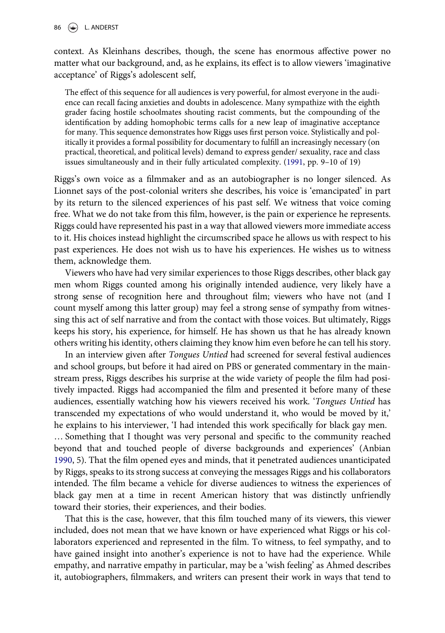<span id="page-13-0"></span>86  $\left(\frac{1}{2}\right)$  L. ANDERST

context. As Kleinhans describes, though, the scene has enormous affective power no matter what our background, and, as he explains, its effect is to allow viewers 'imaginative acceptance' of Riggs's adolescent self,

The effect of this sequence for all audiences is very powerful, for almost everyone in the audience can recall facing anxieties and doubts in adolescence. Many sympathize with the eighth grader facing hostile schoolmates shouting racist comments, but the compounding of the identification by adding homophobic terms calls for a new leap of imaginative acceptance for many. This sequence demonstrates how Riggs uses first person voice. Stylistically and politically it provides a formal possibility for documentary to fulfill an increasingly necessary (on practical, theoretical, and political levels) demand to express gender/ sexuality, race and class issues simultaneously and in their fully articulated complexity. ([1991](#page-15-0), pp. 9–10 of 19)

Riggs's own voice as a filmmaker and as an autobiographer is no longer silenced. As Lionnet says of the post-colonial writers she describes, his voice is 'emancipated' in part by its return to the silenced experiences of his past self. We witness that voice coming free. What we do not take from this film, however, is the pain or experience he represents. Riggs could have represented his past in a way that allowed viewers more immediate access to it. His choices instead highlight the circumscribed space he allows us with respect to his past experiences. He does not wish us to have his experiences. He wishes us to witness them, acknowledge them.

Viewers who have had very similar experiences to those Riggs describes, other black gay men whom Riggs counted among his originally intended audience, very likely have a strong sense of recognition here and throughout film; viewers who have not (and I count myself among this latter group) may feel a strong sense of sympathy from witnessing this act of self narrative and from the contact with those voices. But ultimately, Riggs keeps his story, his experience, for himself. He has shown us that he has already known others writing his identity, others claiming they know him even before he can tell his story.

In an interview given after Tongues Untied had screened for several festival audiences and school groups, but before it had aired on PBS or generated commentary in the mainstream press, Riggs describes his surprise at the wide variety of people the film had positively impacted. Riggs had accompanied the film and presented it before many of these audiences, essentially watching how his viewers received his work. 'Tongues Untied has transcended my expectations of who would understand it, who would be moved by it,' he explains to his interviewer, 'I had intended this work specifically for black gay men. … Something that I thought was very personal and specific to the community reached beyond that and touched people of diverse backgrounds and experiences' (Anbian [1990](#page-15-0), 5). That the film opened eyes and minds, that it penetrated audiences unanticipated by Riggs, speaks to its strong success at conveying the messages Riggs and his collaborators intended. The film became a vehicle for diverse audiences to witness the experiences of

That this is the case, however, that this film touched many of its viewers, this viewer included, does not mean that we have known or have experienced what Riggs or his collaborators experienced and represented in the film. To witness, to feel sympathy, and to have gained insight into another's experience is not to have had the experience. While empathy, and narrative empathy in particular, may be a 'wish feeling' as Ahmed describes it, autobiographers, filmmakers, and writers can present their work in ways that tend to

black gay men at a time in recent American history that was distinctly unfriendly

toward their stories, their experiences, and their bodies.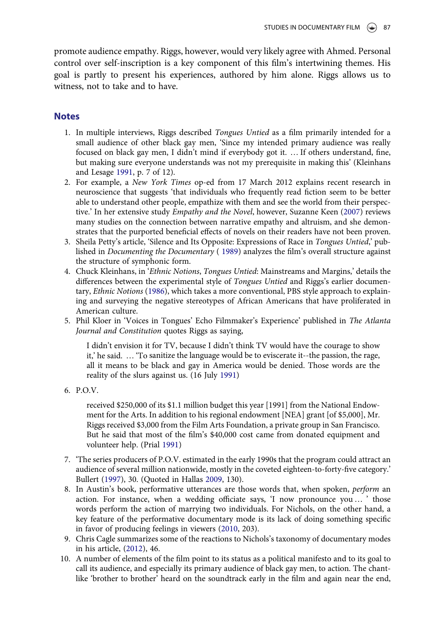<span id="page-14-0"></span>promote audience empathy. Riggs, however, would very likely agree with Ahmed. Personal control over self-inscription is a key component of this film's intertwining themes. His goal is partly to present his experiences, authored by him alone. Riggs allows us to witness, not to take and to have.

# **Notes**

- 1. In multiple interviews, Riggs described Tongues Untied as a film primarily intended for a small audience of other black gay men, 'Since my intended primary audience was really focused on black gay men, I didn't mind if everybody got it. … If others understand, fine, but making sure everyone understands was not my prerequisite in making this' (Kleinhans and Lesage [1991](#page-16-0), p. 7 of 12).
- 2. For example, a New York Times op-ed from 17 March 2012 explains recent research in neuroscience that suggests 'that individuals who frequently read fiction seem to be better able to understand other people, empathize with them and see the world from their perspective.' In her extensive study Empathy and the Novel, however, Suzanne Keen ([2007](#page-15-0)) reviews many studies on the connection between narrative empathy and altruism, and she demonstrates that the purported beneficial effects of novels on their readers have not been proven.
- 3. Sheila Petty's article, 'Silence and Its Opposite: Expressions of Race in Tongues Untied,' published in Documenting the Documentary ( [1989](#page-16-0)) analyzes the film's overall structure against the structure of symphonic form.
- 4. Chuck Kleinhans, in 'Ethnic Notions, Tongues Untied: Mainstreams and Margins,' details the differences between the experimental style of Tongues Untied and Riggs's earlier documentary, Ethnic Notions [\(1986](#page-16-0)), which takes a more conventional, PBS style approach to explaining and surveying the negative stereotypes of African Americans that have proliferated in American culture.
- 5. Phil Kloer in 'Voices in Tongues' Echo Filmmaker's Experience' published in The Atlanta Journal and Constitution quotes Riggs as saying,

I didn't envision it for TV, because I didn't think TV would have the courage to show it,' he said. … 'To sanitize the language would be to eviscerate it--the passion, the rage, all it means to be black and gay in America would be denied. Those words are the reality of the slurs against us. (16 July [1991](#page-16-0))

6. P.O.V.

received \$250,000 of its \$1.1 million budget this year [1991] from the National Endowment for the Arts. In addition to his regional endowment [NEA] grant [of \$5,000], Mr. Riggs received \$3,000 from the Film Arts Foundation, a private group in San Francisco. But he said that most of the film's \$40,000 cost came from donated equipment and volunteer help. (Prial [1991](#page-16-0))

- 7. 'The series producers of P.O.V. estimated in the early 1990s that the program could attract an audience of several million nationwide, mostly in the coveted eighteen-to-forty-five category.' Bullert ([1997\)](#page-15-0), 30. (Quoted in Hallas [2009](#page-15-0), 130).
- 8. In Austin's book, performative utterances are those words that, when spoken, perform an action. For instance, when a wedding officiate says, 'I now pronounce you … ' those words perform the action of marrying two individuals. For Nichols, on the other hand, a key feature of the performative documentary mode is its lack of doing something specific in favor of producing feelings in viewers [\(2010,](#page-16-0) 203).
- 9. Chris Cagle summarizes some of the reactions to Nichols's taxonomy of documentary modes in his article, ([2012](#page-15-0)), 46.
- 10. A number of elements of the film point to its status as a political manifesto and to its goal to call its audience, and especially its primary audience of black gay men, to action. The chantlike 'brother to brother' heard on the soundtrack early in the film and again near the end,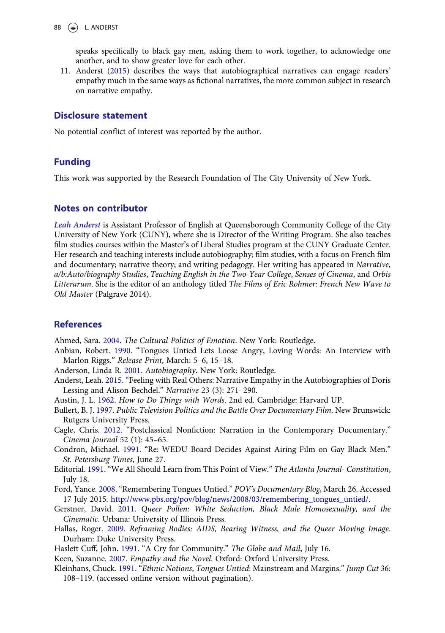<span id="page-15-0"></span>

speaks specifically to black gay men, asking them to work together, to acknowledge one another, and to show greater love for each other.

11. Anderst (2015) describes the ways that autobiographical narratives can engage readers' empathy much in the same ways as fictional narratives, the more common subject in research on narrative empathy.

### Disclosure statement

No potential conflict of interest was reported by the author.

## Funding

This work was supported by the Research Foundation of The City University of New York.

## Notes on contributor

Leah Anderst is Assistant Professor of English at Queensborough Community College of the City University of New York (CUNY), where she is Director of the Writing Program. She also teaches film studies courses within the Master's of Liberal Studies program at the CUNY Graduate Center. Her research and teaching interests include autobiography; film studies, with a focus on French film and documentary; narrative theory; and writing pedagogy. Her writing has appeared in Narrative, a/b:Auto/biography Studies, Teaching English in the Two-Year College, Senses of Cinema, and Orbis Litterarum. She is the editor of an anthology titled The Films of Eric Rohmer: French New Wave to Old Master (Palgrave 2014).

# References

Ahmed, Sara. [2004.](#page-2-0) The Cultural Politics of Emotion. New York: Routledge.

Anbian, Robert. [1990.](#page-13-0) "Tongues Untied Lets Loose Angry, Loving Words: An Interview with Marlon Riggs." Release Print, March: 5–6, 15–18.

Anderson, Linda R. [2001](#page-6-0). Autobiography. New York: Routledge.

- Anderst, Leah. 2015. "Feeling with Real Others: Narrative Empathy in the Autobiographies of Doris Lessing and Alison Bechdel." Narrative 23 (3): 271–290.
- Austin, J. L. [1962.](#page-5-0) How to Do Things with Words. 2nd ed. Cambridge: Harvard UP.
- Bullert, B. J. [1997.](#page-14-0) Public Television Politics and the Battle Over Documentary Film. New Brunswick: Rutgers University Press.
- Cagle, Chris. [2012.](#page-14-0) "Postclassical Nonfiction: Narration in the Contemporary Documentary." Cinema Journal 52 (1): 45–65.
- Condron, Michael. [1991](#page-4-0). "Re: WEDU Board Decides Against Airing Film on Gay Black Men." St. Petersburg Times, June 27.
- Editorial. [1991](#page-4-0). "We All Should Learn from This Point of View." The Atlanta Journal- Constitution, July 18.
- Ford, Yance. [2008.](#page-3-0) "Remembering Tongues Untied." POV's Documentary Blog, March 26. Accessed 17 July 2015. [http://www.pbs.org/pov/blog/news/2008/03/remembering\\_tongues\\_untied/.](http://www.pbs.org/pov/blog/news/2008/03/remembering_tongues_untied/)
- Gerstner, David. [2011](#page-12-0). Queer Pollen: White Seduction, Black Male Homosexuality, and the Cinematic. Urbana: University of Illinois Press.
- Hallas, Roger. [2009](#page-10-0). Reframing Bodies: AIDS, Bearing Witness, and the Queer Moving Image. Durham: Duke University Press.
- Haslett Cuff, John. [1991](#page-4-0). "A Cry for Community." The Globe and Mail, July 16.

Keen, Suzanne. [2007](#page-14-0). Empathy and the Novel. Oxford: Oxford University Press.

Kleinhans, Chuck. [1991.](#page-13-0) "Ethnic Notions, Tongues Untied: Mainstream and Margins." Jump Cut 36: 108–119. (accessed online version without pagination).